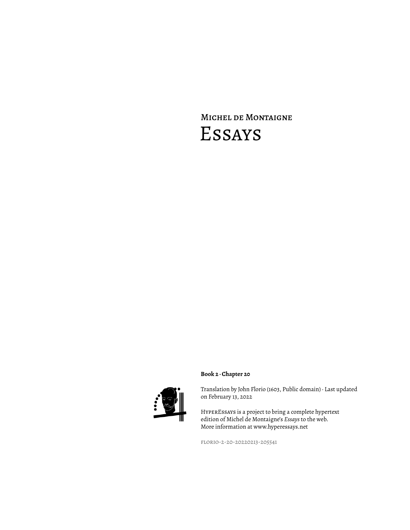# Michel de Montaigne Essays



# **Book 2 · Chapter 20**

Translation by John Florio (1603, Public domain) · Last updated on February 13, 2022

HyperEssays is a project to bring a complete hypertext edition of Michel de Montaigne's *Essays* to the web. More information at www.hyperessays.net

florio-2-20-20220213-205541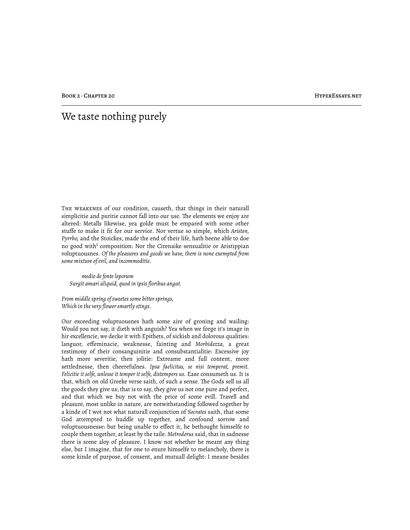# We taste nothing purely

The weakenes of our condition, causeth, that things in their naturall simplicitie and puritie cannot fall into our use. The elements we enjoy are altered: Metalls likewise, yea golde must be empared with some other stuffe to make it fit for our service. Nor vertue so simple, which *Ariston, Pyrrho,* and the Stoickes, made the end of their life, hath beene able to doe no good with<sup>1</sup> composition: Nor the Cirenaike sensualitie or Aristippian voluptuousnes. *Of the pleasures and goods we have, there is none exempted from some mixture of evil, and incommoditie.*

*medio de fonte leporum Surgit amari aliquid, quod in ipsis floribus angat.*

*From middle spring of sweetes some bitter springs, Which in the very flower smartly stings.*

Our exceeding voluptuousnes hath some aire of groning and wailing: Would you not say, it dieth with anguish? Yea when we forge it's image in hir excellencie, we decke it with Epithets, of sickish and dolorous qualities: languor, effeminacie, weaknesse, fainting and *Morbidezza,* a great testimony of their consanguinitie and consubstantialitie: Excessive joy hath more severitie, then jolitie: Extreame and full content, more settlednesse, then cheerefulnes. *Ipsa faelicitas, se nisi temperat, premit. Felicitie it selfe, unlesse it temper it selfe, distempers us.* Ease consumeth us. It is that, which on old Greeke verse saith, of such a sense. The Gods sell us all the goods they give us; that is to say, they give us not one pure and perfect, and that which we buy not with the price of some evill. Travell and pleasure, most unlike in nature, are notwithstanding followed together by a kinde of I wot not what naturall conjunction of *Socrates* saith, that some God attempted to huddle up together, and confound sorrow and voluptuousnesse: but being unable to effect it, he bethought himselfe to couple them together, at least by the taile. *Metrodorus* said, that in sadnesse there is some aloy of pleasure. I know not whether he meant any thing else, but I imagine, that for one to enure himselfe to melancholy, there is some kinde of purpose, of consent, and mutuall delight: I meane besides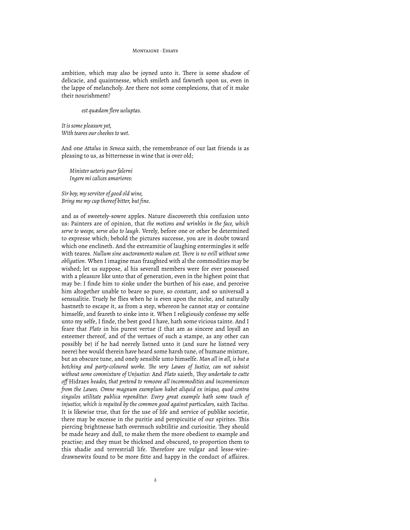#### MONTAIGNE, Feeave

ambition, which may also be joyned unto it. There is some shadow of delicacie, and quaintnesse, which smileth and fawneth upon us, even in the lappe of melancholy. Are there not some complexions, that of it make their nourishment?

### *est quædam flere uoluptas.*

*It is some pleasure yet, With teares our cheekes to wet.*

And one *Attalus* in *Seneca* saith, the remembrance of our last friends is as pleasing to us, as bitternesse in wine that is over old;

*Minister ueteris puer falerni Ingere mi calices amariores:*

*Sir boy, my servitor of good old wine, Bring me my cup thereof bitter, but fine.*

and as of sweetely-sowre apples. Nature discovereth this confusion unto us: Painters are of opinion, that *the motions and wrinkles in the face, which serve to weepe, serve also to laugh.* Verely, before one or other be determined to expresse which; behold the pictures successe, you are in doubt toward which one enclineth. And the extreamitie of laughing entermingles it selfe with teares. *Nullum sine auctoramento malum est*. *There is no evill without some obligation.* When I imagine man fraughted with al the commodities may be wished; let us suppose, al his severall members were for ever possessed with a pleasure like unto that of generation, even in the highest point that may be: I finde him to sinke under the burthen of his ease, and perceive him altogether unable to beare so pure, so constant, and so universall a sensualitie. Truely he flies when he is even upon the nicke, and naturally hastneth to escape it, as from a step, whereon he cannot stay or containe himselfe, and feareth to sinke into it. When I religiously confesse my selfe unto my selfe, I finde, the best good I have, hath some vicious tainte. And I feare that *Plato* in his purest vertue (I that am as sincere and loyall an esteemer thereof, and of the vertues of such a stampe, as any other can possibly be) if he had neerely listned unto it (and sure he listned very neere) hee would therein have heard some harsh tune, of humane mixture, but an obscure tune, and onely sensible unto himselfe. *Man all in all, is but a botching and party-coloured worke. "e very Lawes of Justice, can not subsist without seme commixture of Unjustice: And Plato saieth, They undertake to cutte off* Hidraes *heades, that pretend to remoove all incommodities and inconveniences from the Lawes. Omne magnum exemplum habet aliquid ex iniquo, quod contra singulos utilitate publica rependitur. Every great example hath some touch of injustice, which is requited by the common good against particulars,* saith *Tacitus.* It is likewise true, that for the use of life and service of publike societie, there may be excesse in the puritie and perspicuitie of our spirites. This piercing brightnesse hath overmuch subtilitie and curiositie. They should be made heavy and dull, to make them the more obedient to example and practise; and they must be thickned and obscured, to proportion them to this shadie and terrestriall life. Therefore are vulgar and lesse-wiredrawnewits found to be more fitte and happy in the conduct of affaires.